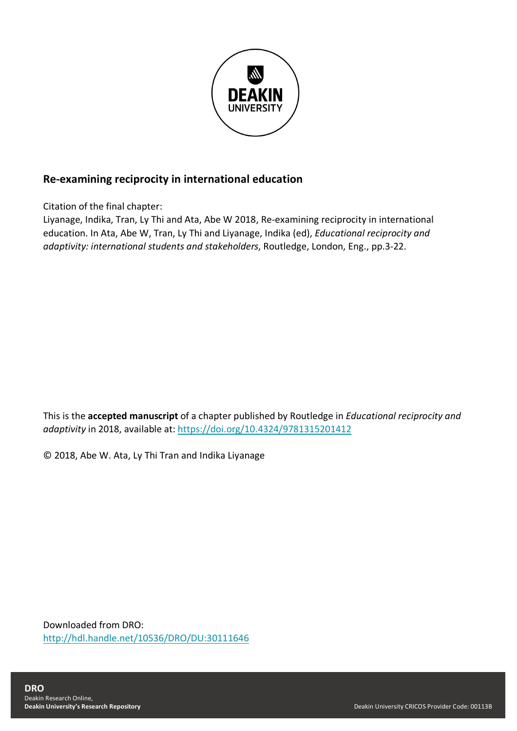

# **Re-examining reciprocity in international education**

Citation of the final chapter:

Liyanage, Indika, Tran, Ly Thi and Ata, Abe W 2018, Re-examining reciprocity in international education. In Ata, Abe W, Tran, Ly Thi and Liyanage, Indika (ed), *Educational reciprocity and adaptivity: international students and stakeholders*, Routledge, London, Eng., pp.3-22.

This is the **accepted manuscript** of a chapter published by Routledge in *Educational reciprocity and adaptivity* in 2018, available at[: https://doi.org/10.4324/9781315201412](https://doi.org/10.4324/9781315201412)

© 2018, Abe W. Ata, Ly Thi Tran and Indika Liyanage

Downloaded from DRO: <http://hdl.handle.net/10536/DRO/DU:30111646>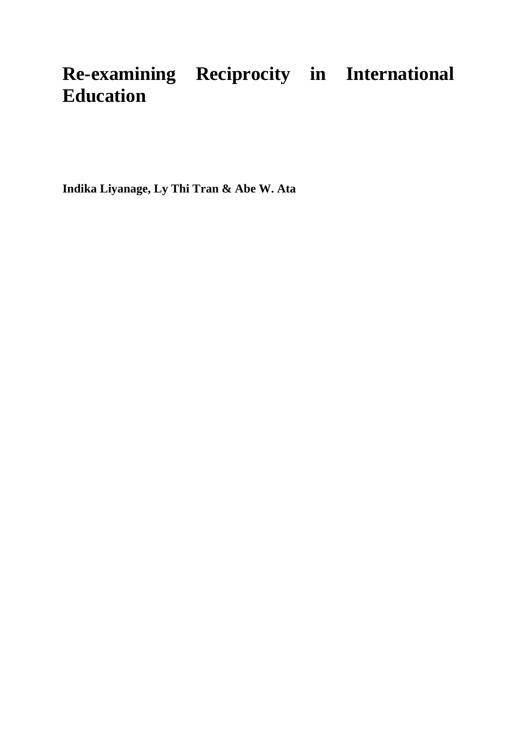# **Re-examining Reciprocity in International Education**

**Indika Liyanage, Ly Thi Tran & Abe W. Ata**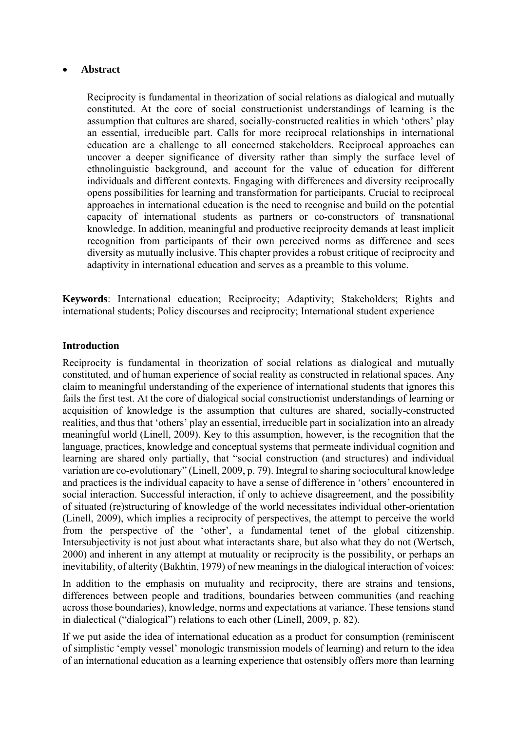# **Abstract**

Reciprocity is fundamental in theorization of social relations as dialogical and mutually constituted. At the core of social constructionist understandings of learning is the assumption that cultures are shared, socially-constructed realities in which 'others' play an essential, irreducible part. Calls for more reciprocal relationships in international education are a challenge to all concerned stakeholders. Reciprocal approaches can uncover a deeper significance of diversity rather than simply the surface level of ethnolinguistic background, and account for the value of education for different individuals and different contexts. Engaging with differences and diversity reciprocally opens possibilities for learning and transformation for participants. Crucial to reciprocal approaches in international education is the need to recognise and build on the potential capacity of international students as partners or co-constructors of transnational knowledge. In addition, meaningful and productive reciprocity demands at least implicit recognition from participants of their own perceived norms as difference and sees diversity as mutually inclusive. This chapter provides a robust critique of reciprocity and adaptivity in international education and serves as a preamble to this volume.

**Keywords**: International education; Reciprocity; Adaptivity; Stakeholders; Rights and international students; Policy discourses and reciprocity; International student experience

# **Introduction**

Reciprocity is fundamental in theorization of social relations as dialogical and mutually constituted, and of human experience of social reality as constructed in relational spaces. Any claim to meaningful understanding of the experience of international students that ignores this fails the first test. At the core of dialogical social constructionist understandings of learning or acquisition of knowledge is the assumption that cultures are shared, socially-constructed realities, and thus that 'others' play an essential, irreducible part in socialization into an already meaningful world (Linell, 2009). Key to this assumption, however, is the recognition that the language, practices, knowledge and conceptual systems that permeate individual cognition and learning are shared only partially, that "social construction (and structures) and individual variation are co-evolutionary" (Linell, 2009, p. 79). Integral to sharing sociocultural knowledge and practices is the individual capacity to have a sense of difference in 'others' encountered in social interaction. Successful interaction, if only to achieve disagreement, and the possibility of situated (re)structuring of knowledge of the world necessitates individual other-orientation (Linell, 2009), which implies a reciprocity of perspectives, the attempt to perceive the world from the perspective of the 'other', a fundamental tenet of the global citizenship. Intersubjectivity is not just about what interactants share, but also what they do not (Wertsch, 2000) and inherent in any attempt at mutuality or reciprocity is the possibility, or perhaps an inevitability, of alterity (Bakhtin, 1979) of new meanings in the dialogical interaction of voices:

In addition to the emphasis on mutuality and reciprocity, there are strains and tensions, differences between people and traditions, boundaries between communities (and reaching across those boundaries), knowledge, norms and expectations at variance. These tensions stand in dialectical ("dialogical") relations to each other (Linell, 2009, p. 82).

If we put aside the idea of international education as a product for consumption (reminiscent of simplistic 'empty vessel' monologic transmission models of learning) and return to the idea of an international education as a learning experience that ostensibly offers more than learning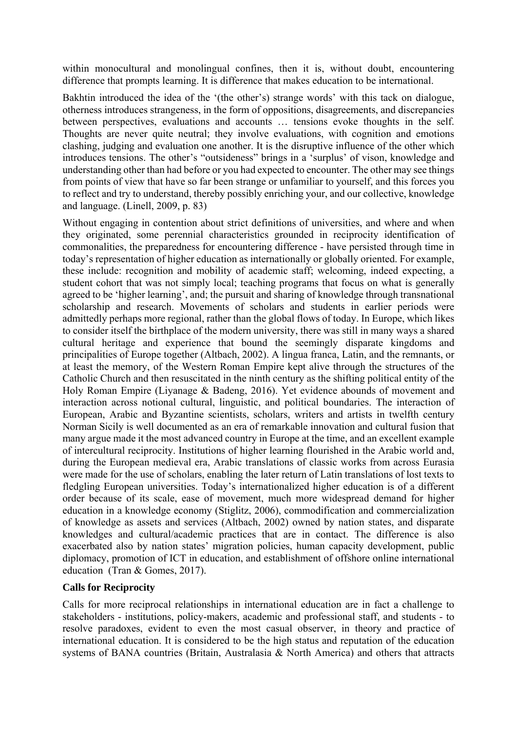within monocultural and monolingual confines, then it is, without doubt, encountering difference that prompts learning. It is difference that makes education to be international.

Bakhtin introduced the idea of the '(the other's) strange words' with this tack on dialogue, otherness introduces strangeness, in the form of oppositions, disagreements, and discrepancies between perspectives, evaluations and accounts … tensions evoke thoughts in the self. Thoughts are never quite neutral; they involve evaluations, with cognition and emotions clashing, judging and evaluation one another. It is the disruptive influence of the other which introduces tensions. The other's "outsideness" brings in a 'surplus' of vison, knowledge and understanding other than had before or you had expected to encounter. The other may see things from points of view that have so far been strange or unfamiliar to yourself, and this forces you to reflect and try to understand, thereby possibly enriching your, and our collective, knowledge and language. (Linell, 2009, p. 83)

Without engaging in contention about strict definitions of universities, and where and when they originated, some perennial characteristics grounded in reciprocity identification of commonalities, the preparedness for encountering difference - have persisted through time in today's representation of higher education as internationally or globally oriented. For example, these include: recognition and mobility of academic staff; welcoming, indeed expecting, a student cohort that was not simply local; teaching programs that focus on what is generally agreed to be 'higher learning', and; the pursuit and sharing of knowledge through transnational scholarship and research. Movements of scholars and students in earlier periods were admittedly perhaps more regional, rather than the global flows of today. In Europe, which likes to consider itself the birthplace of the modern university, there was still in many ways a shared cultural heritage and experience that bound the seemingly disparate kingdoms and principalities of Europe together (Altbach, 2002). A lingua franca, Latin, and the remnants, or at least the memory, of the Western Roman Empire kept alive through the structures of the Catholic Church and then resuscitated in the ninth century as the shifting political entity of the Holy Roman Empire (Liyanage & Badeng, 2016). Yet evidence abounds of movement and interaction across notional cultural, linguistic, and political boundaries. The interaction of European, Arabic and Byzantine scientists, scholars, writers and artists in twelfth century Norman Sicily is well documented as an era of remarkable innovation and cultural fusion that many argue made it the most advanced country in Europe at the time, and an excellent example of intercultural reciprocity. Institutions of higher learning flourished in the Arabic world and, during the European medieval era, Arabic translations of classic works from across Eurasia were made for the use of scholars, enabling the later return of Latin translations of lost texts to fledgling European universities. Today's internationalized higher education is of a different order because of its scale, ease of movement, much more widespread demand for higher education in a knowledge economy (Stiglitz, 2006), commodification and commercialization of knowledge as assets and services (Altbach, 2002) owned by nation states, and disparate knowledges and cultural/academic practices that are in contact. The difference is also exacerbated also by nation states' migration policies, human capacity development, public diplomacy, promotion of ICT in education, and establishment of offshore online international education (Tran & Gomes, 2017).

# **Calls for Reciprocity**

Calls for more reciprocal relationships in international education are in fact a challenge to stakeholders - institutions, policy-makers, academic and professional staff, and students - to resolve paradoxes, evident to even the most casual observer, in theory and practice of international education. It is considered to be the high status and reputation of the education systems of BANA countries (Britain, Australasia & North America) and others that attracts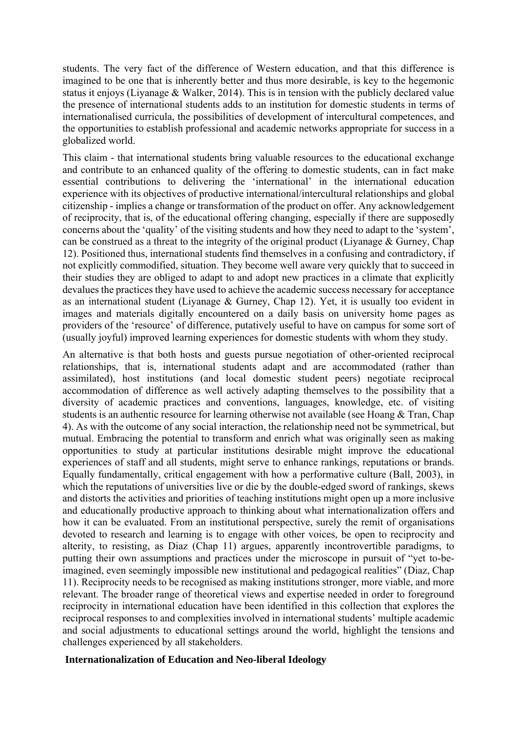students. The very fact of the difference of Western education, and that this difference is imagined to be one that is inherently better and thus more desirable, is key to the hegemonic status it enjoys (Liyanage & Walker, 2014). This is in tension with the publicly declared value the presence of international students adds to an institution for domestic students in terms of internationalised curricula, the possibilities of development of intercultural competences, and the opportunities to establish professional and academic networks appropriate for success in a globalized world.

This claim - that international students bring valuable resources to the educational exchange and contribute to an enhanced quality of the offering to domestic students, can in fact make essential contributions to delivering the 'international' in the international education experience with its objectives of productive international/intercultural relationships and global citizenship - implies a change or transformation of the product on offer. Any acknowledgement of reciprocity, that is, of the educational offering changing, especially if there are supposedly concerns about the 'quality' of the visiting students and how they need to adapt to the 'system', can be construed as a threat to the integrity of the original product (Liyanage & Gurney, Chap 12). Positioned thus, international students find themselves in a confusing and contradictory, if not explicitly commodified, situation. They become well aware very quickly that to succeed in their studies they are obliged to adapt to and adopt new practices in a climate that explicitly devalues the practices they have used to achieve the academic success necessary for acceptance as an international student (Liyanage & Gurney, Chap 12). Yet, it is usually too evident in images and materials digitally encountered on a daily basis on university home pages as providers of the 'resource' of difference, putatively useful to have on campus for some sort of (usually joyful) improved learning experiences for domestic students with whom they study.

An alternative is that both hosts and guests pursue negotiation of other-oriented reciprocal relationships, that is, international students adapt and are accommodated (rather than assimilated), host institutions (and local domestic student peers) negotiate reciprocal accommodation of difference as well actively adapting themselves to the possibility that a diversity of academic practices and conventions, languages, knowledge, etc. of visiting students is an authentic resource for learning otherwise not available (see Hoang & Tran, Chap 4). As with the outcome of any social interaction, the relationship need not be symmetrical, but mutual. Embracing the potential to transform and enrich what was originally seen as making opportunities to study at particular institutions desirable might improve the educational experiences of staff and all students, might serve to enhance rankings, reputations or brands. Equally fundamentally, critical engagement with how a performative culture (Ball, 2003), in which the reputations of universities live or die by the double-edged sword of rankings, skews and distorts the activities and priorities of teaching institutions might open up a more inclusive and educationally productive approach to thinking about what internationalization offers and how it can be evaluated. From an institutional perspective, surely the remit of organisations devoted to research and learning is to engage with other voices, be open to reciprocity and alterity, to resisting, as Diaz (Chap 11) argues, apparently incontrovertible paradigms, to putting their own assumptions and practices under the microscope in pursuit of "yet to-beimagined, even seemingly impossible new institutional and pedagogical realities" (Diaz, Chap 11). Reciprocity needs to be recognised as making institutions stronger, more viable, and more relevant. The broader range of theoretical views and expertise needed in order to foreground reciprocity in international education have been identified in this collection that explores the reciprocal responses to and complexities involved in international students' multiple academic and social adjustments to educational settings around the world, highlight the tensions and challenges experienced by all stakeholders.

# **Internationalization of Education and Neo-liberal Ideology**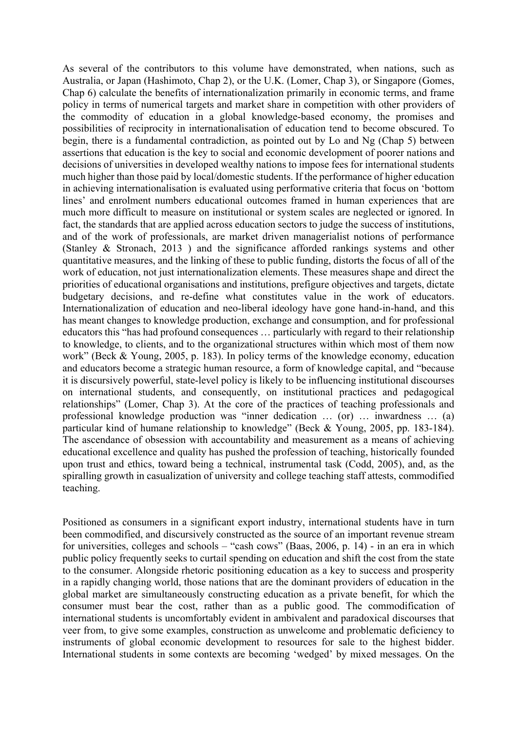As several of the contributors to this volume have demonstrated, when nations, such as Australia, or Japan (Hashimoto, Chap 2), or the U.K. (Lomer, Chap 3), or Singapore (Gomes, Chap 6) calculate the benefits of internationalization primarily in economic terms, and frame policy in terms of numerical targets and market share in competition with other providers of the commodity of education in a global knowledge-based economy, the promises and possibilities of reciprocity in internationalisation of education tend to become obscured. To begin, there is a fundamental contradiction, as pointed out by Lo and Ng (Chap 5) between assertions that education is the key to social and economic development of poorer nations and decisions of universities in developed wealthy nations to impose fees for international students much higher than those paid by local/domestic students. If the performance of higher education in achieving internationalisation is evaluated using performative criteria that focus on 'bottom lines' and enrolment numbers educational outcomes framed in human experiences that are much more difficult to measure on institutional or system scales are neglected or ignored. In fact, the standards that are applied across education sectors to judge the success of institutions, and of the work of professionals, are market driven managerialist notions of performance (Stanley & Stronach, 2013 ) and the significance afforded rankings systems and other quantitative measures, and the linking of these to public funding, distorts the focus of all of the work of education, not just internationalization elements. These measures shape and direct the priorities of educational organisations and institutions, prefigure objectives and targets, dictate budgetary decisions, and re-define what constitutes value in the work of educators. Internationalization of education and neo-liberal ideology have gone hand-in-hand, and this has meant changes to knowledge production, exchange and consumption, and for professional educators this "has had profound consequences … particularly with regard to their relationship to knowledge, to clients, and to the organizational structures within which most of them now work" (Beck & Young, 2005, p. 183). In policy terms of the knowledge economy, education and educators become a strategic human resource, a form of knowledge capital, and "because it is discursively powerful, state-level policy is likely to be influencing institutional discourses on international students, and consequently, on institutional practices and pedagogical relationships" (Lomer, Chap 3). At the core of the practices of teaching professionals and professional knowledge production was "inner dedication … (or) … inwardness … (a) particular kind of humane relationship to knowledge" (Beck & Young, 2005, pp. 183-184). The ascendance of obsession with accountability and measurement as a means of achieving educational excellence and quality has pushed the profession of teaching, historically founded upon trust and ethics, toward being a technical, instrumental task (Codd, 2005), and, as the spiralling growth in casualization of university and college teaching staff attests, commodified teaching.

Positioned as consumers in a significant export industry, international students have in turn been commodified, and discursively constructed as the source of an important revenue stream for universities, colleges and schools – "cash cows" (Baas, 2006, p. 14) - in an era in which public policy frequently seeks to curtail spending on education and shift the cost from the state to the consumer. Alongside rhetoric positioning education as a key to success and prosperity in a rapidly changing world, those nations that are the dominant providers of education in the global market are simultaneously constructing education as a private benefit, for which the consumer must bear the cost, rather than as a public good. The commodification of international students is uncomfortably evident in ambivalent and paradoxical discourses that veer from, to give some examples, construction as unwelcome and problematic deficiency to instruments of global economic development to resources for sale to the highest bidder. International students in some contexts are becoming 'wedged' by mixed messages. On the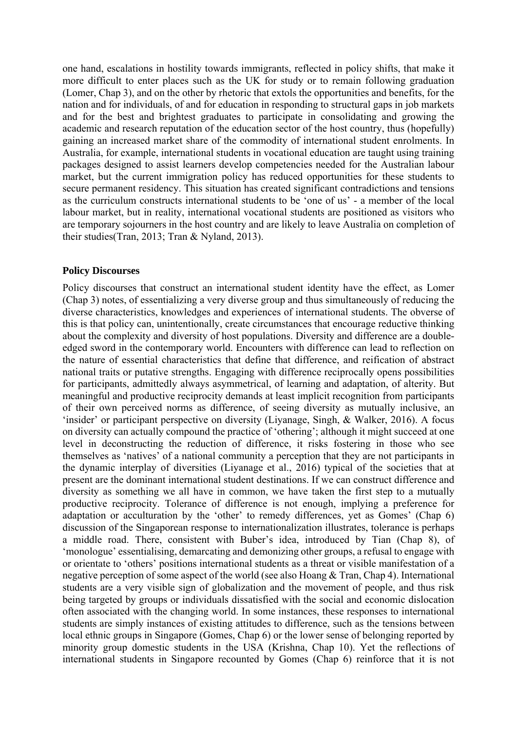one hand, escalations in hostility towards immigrants, reflected in policy shifts, that make it more difficult to enter places such as the UK for study or to remain following graduation (Lomer, Chap 3), and on the other by rhetoric that extols the opportunities and benefits, for the nation and for individuals, of and for education in responding to structural gaps in job markets and for the best and brightest graduates to participate in consolidating and growing the academic and research reputation of the education sector of the host country, thus (hopefully) gaining an increased market share of the commodity of international student enrolments. In Australia, for example, international students in vocational education are taught using training packages designed to assist learners develop competencies needed for the Australian labour market, but the current immigration policy has reduced opportunities for these students to secure permanent residency. This situation has created significant contradictions and tensions as the curriculum constructs international students to be 'one of us' - a member of the local labour market, but in reality, international vocational students are positioned as visitors who are temporary sojourners in the host country and are likely to leave Australia on completion of their studies(Tran, 2013; Tran & Nyland, 2013).

#### **Policy Discourses**

Policy discourses that construct an international student identity have the effect, as Lomer (Chap 3) notes, of essentializing a very diverse group and thus simultaneously of reducing the diverse characteristics, knowledges and experiences of international students. The obverse of this is that policy can, unintentionally, create circumstances that encourage reductive thinking about the complexity and diversity of host populations. Diversity and difference are a doubleedged sword in the contemporary world. Encounters with difference can lead to reflection on the nature of essential characteristics that define that difference, and reification of abstract national traits or putative strengths. Engaging with difference reciprocally opens possibilities for participants, admittedly always asymmetrical, of learning and adaptation, of alterity. But meaningful and productive reciprocity demands at least implicit recognition from participants of their own perceived norms as difference, of seeing diversity as mutually inclusive, an 'insider' or participant perspective on diversity (Liyanage, Singh, & Walker, 2016). A focus on diversity can actually compound the practice of 'othering'; although it might succeed at one level in deconstructing the reduction of difference, it risks fostering in those who see themselves as 'natives' of a national community a perception that they are not participants in the dynamic interplay of diversities (Liyanage et al., 2016) typical of the societies that at present are the dominant international student destinations. If we can construct difference and diversity as something we all have in common, we have taken the first step to a mutually productive reciprocity. Tolerance of difference is not enough, implying a preference for adaptation or acculturation by the 'other' to remedy differences, yet as Gomes' (Chap 6) discussion of the Singaporean response to internationalization illustrates, tolerance is perhaps a middle road. There, consistent with Buber's idea, introduced by Tian (Chap 8), of 'monologue' essentialising, demarcating and demonizing other groups, a refusal to engage with or orientate to 'others' positions international students as a threat or visible manifestation of a negative perception of some aspect of the world (see also Hoang & Tran, Chap 4). International students are a very visible sign of globalization and the movement of people, and thus risk being targeted by groups or individuals dissatisfied with the social and economic dislocation often associated with the changing world. In some instances, these responses to international students are simply instances of existing attitudes to difference, such as the tensions between local ethnic groups in Singapore (Gomes, Chap 6) or the lower sense of belonging reported by minority group domestic students in the USA (Krishna, Chap 10). Yet the reflections of international students in Singapore recounted by Gomes (Chap 6) reinforce that it is not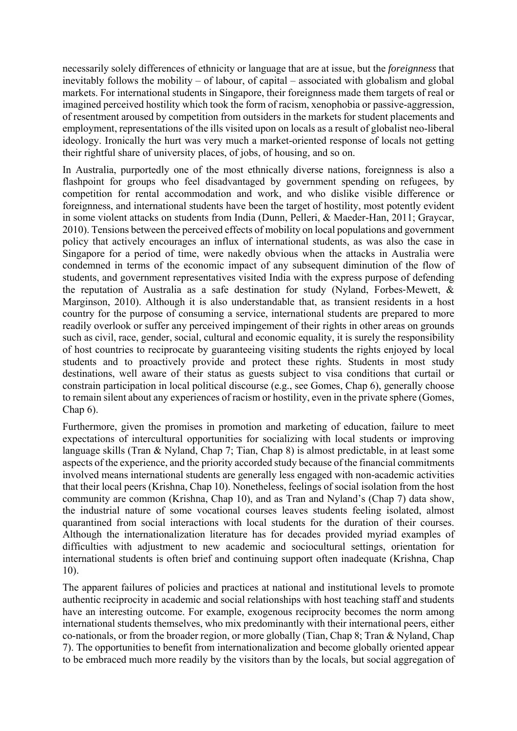necessarily solely differences of ethnicity or language that are at issue, but the *foreignness* that inevitably follows the mobility – of labour, of capital – associated with globalism and global markets. For international students in Singapore, their foreignness made them targets of real or imagined perceived hostility which took the form of racism, xenophobia or passive-aggression, of resentment aroused by competition from outsiders in the markets for student placements and employment, representations of the ills visited upon on locals as a result of globalist neo-liberal ideology. Ironically the hurt was very much a market-oriented response of locals not getting their rightful share of university places, of jobs, of housing, and so on.

In Australia, purportedly one of the most ethnically diverse nations, foreignness is also a flashpoint for groups who feel disadvantaged by government spending on refugees, by competition for rental accommodation and work, and who dislike visible difference or foreignness, and international students have been the target of hostility, most potently evident in some violent attacks on students from India (Dunn, Pelleri, & Maeder-Han, 2011; Graycar, 2010). Tensions between the perceived effects of mobility on local populations and government policy that actively encourages an influx of international students, as was also the case in Singapore for a period of time, were nakedly obvious when the attacks in Australia were condemned in terms of the economic impact of any subsequent diminution of the flow of students, and government representatives visited India with the express purpose of defending the reputation of Australia as a safe destination for study (Nyland, Forbes-Mewett,  $\&$ Marginson, 2010). Although it is also understandable that, as transient residents in a host country for the purpose of consuming a service, international students are prepared to more readily overlook or suffer any perceived impingement of their rights in other areas on grounds such as civil, race, gender, social, cultural and economic equality, it is surely the responsibility of host countries to reciprocate by guaranteeing visiting students the rights enjoyed by local students and to proactively provide and protect these rights. Students in most study destinations, well aware of their status as guests subject to visa conditions that curtail or constrain participation in local political discourse (e.g., see Gomes, Chap 6), generally choose to remain silent about any experiences of racism or hostility, even in the private sphere (Gomes, Chap  $6$ ).

Furthermore, given the promises in promotion and marketing of education, failure to meet expectations of intercultural opportunities for socializing with local students or improving language skills (Tran & Nyland, Chap 7; Tian, Chap 8) is almost predictable, in at least some aspects of the experience, and the priority accorded study because of the financial commitments involved means international students are generally less engaged with non-academic activities that their local peers (Krishna, Chap 10). Nonetheless, feelings of social isolation from the host community are common (Krishna, Chap 10), and as Tran and Nyland's (Chap 7) data show, the industrial nature of some vocational courses leaves students feeling isolated, almost quarantined from social interactions with local students for the duration of their courses. Although the internationalization literature has for decades provided myriad examples of difficulties with adjustment to new academic and sociocultural settings, orientation for international students is often brief and continuing support often inadequate (Krishna, Chap 10).

The apparent failures of policies and practices at national and institutional levels to promote authentic reciprocity in academic and social relationships with host teaching staff and students have an interesting outcome. For example, exogenous reciprocity becomes the norm among international students themselves, who mix predominantly with their international peers, either co-nationals, or from the broader region, or more globally (Tian, Chap 8; Tran & Nyland, Chap 7). The opportunities to benefit from internationalization and become globally oriented appear to be embraced much more readily by the visitors than by the locals, but social aggregation of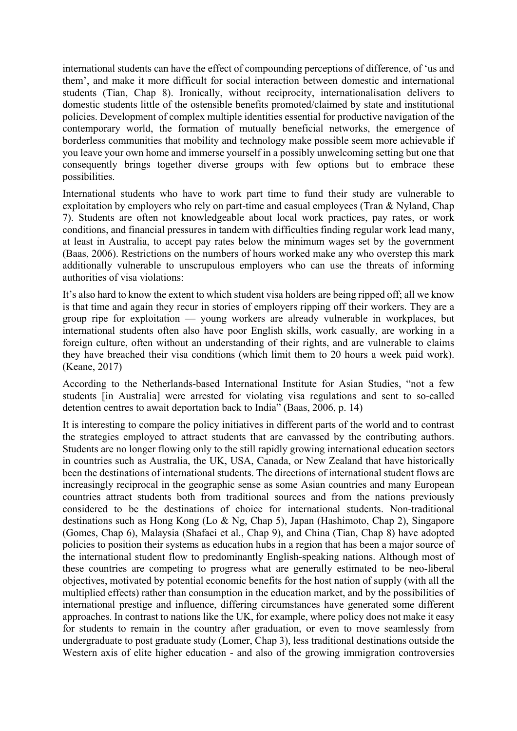international students can have the effect of compounding perceptions of difference, of 'us and them', and make it more difficult for social interaction between domestic and international students (Tian, Chap 8). Ironically, without reciprocity, internationalisation delivers to domestic students little of the ostensible benefits promoted/claimed by state and institutional policies. Development of complex multiple identities essential for productive navigation of the contemporary world, the formation of mutually beneficial networks, the emergence of borderless communities that mobility and technology make possible seem more achievable if you leave your own home and immerse yourself in a possibly unwelcoming setting but one that consequently brings together diverse groups with few options but to embrace these possibilities.

International students who have to work part time to fund their study are vulnerable to exploitation by employers who rely on part-time and casual employees (Tran & Nyland, Chap 7). Students are often not knowledgeable about local work practices, pay rates, or work conditions, and financial pressures in tandem with difficulties finding regular work lead many, at least in Australia, to accept pay rates below the minimum wages set by the government (Baas, 2006). Restrictions on the numbers of hours worked make any who overstep this mark additionally vulnerable to unscrupulous employers who can use the threats of informing authorities of visa violations:

It's also hard to know the extent to which student visa holders are being ripped off; all we know is that time and again they recur in stories of employers ripping off their workers. They are a group ripe for exploitation — young workers are already vulnerable in workplaces, but international students often also have poor English skills, work casually, are working in a foreign culture, often without an understanding of their rights, and are vulnerable to claims they have breached their visa conditions (which limit them to 20 hours a week paid work). (Keane, 2017)

According to the Netherlands-based International Institute for Asian Studies, "not a few students [in Australia] were arrested for violating visa regulations and sent to so-called detention centres to await deportation back to India" (Baas, 2006, p. 14)

It is interesting to compare the policy initiatives in different parts of the world and to contrast the strategies employed to attract students that are canvassed by the contributing authors. Students are no longer flowing only to the still rapidly growing international education sectors in countries such as Australia, the UK, USA, Canada, or New Zealand that have historically been the destinations of international students. The directions of international student flows are increasingly reciprocal in the geographic sense as some Asian countries and many European countries attract students both from traditional sources and from the nations previously considered to be the destinations of choice for international students. Non-traditional destinations such as Hong Kong (Lo & Ng, Chap 5), Japan (Hashimoto, Chap 2), Singapore (Gomes, Chap 6), Malaysia (Shafaei et al., Chap 9), and China (Tian, Chap 8) have adopted policies to position their systems as education hubs in a region that has been a major source of the international student flow to predominantly English-speaking nations. Although most of these countries are competing to progress what are generally estimated to be neo-liberal objectives, motivated by potential economic benefits for the host nation of supply (with all the multiplied effects) rather than consumption in the education market, and by the possibilities of international prestige and influence, differing circumstances have generated some different approaches. In contrast to nations like the UK, for example, where policy does not make it easy for students to remain in the country after graduation, or even to move seamlessly from undergraduate to post graduate study (Lomer, Chap 3), less traditional destinations outside the Western axis of elite higher education - and also of the growing immigration controversies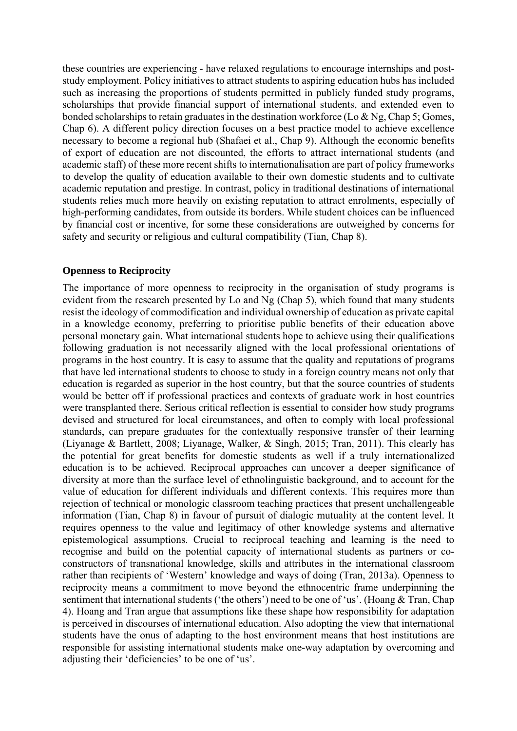these countries are experiencing - have relaxed regulations to encourage internships and poststudy employment. Policy initiatives to attract students to aspiring education hubs has included such as increasing the proportions of students permitted in publicly funded study programs, scholarships that provide financial support of international students, and extended even to bonded scholarships to retain graduates in the destination workforce (Lo  $\&$  Ng, Chap 5; Gomes, Chap 6). A different policy direction focuses on a best practice model to achieve excellence necessary to become a regional hub (Shafaei et al., Chap 9). Although the economic benefits of export of education are not discounted, the efforts to attract international students (and academic staff) of these more recent shifts to internationalisation are part of policy frameworks to develop the quality of education available to their own domestic students and to cultivate academic reputation and prestige. In contrast, policy in traditional destinations of international students relies much more heavily on existing reputation to attract enrolments, especially of high-performing candidates, from outside its borders. While student choices can be influenced by financial cost or incentive, for some these considerations are outweighed by concerns for safety and security or religious and cultural compatibility (Tian, Chap 8).

# **Openness to Reciprocity**

The importance of more openness to reciprocity in the organisation of study programs is evident from the research presented by Lo and Ng (Chap 5), which found that many students resist the ideology of commodification and individual ownership of education as private capital in a knowledge economy, preferring to prioritise public benefits of their education above personal monetary gain. What international students hope to achieve using their qualifications following graduation is not necessarily aligned with the local professional orientations of programs in the host country. It is easy to assume that the quality and reputations of programs that have led international students to choose to study in a foreign country means not only that education is regarded as superior in the host country, but that the source countries of students would be better off if professional practices and contexts of graduate work in host countries were transplanted there. Serious critical reflection is essential to consider how study programs devised and structured for local circumstances, and often to comply with local professional standards, can prepare graduates for the contextually responsive transfer of their learning (Liyanage & Bartlett, 2008; Liyanage, Walker, & Singh, 2015; Tran, 2011). This clearly has the potential for great benefits for domestic students as well if a truly internationalized education is to be achieved. Reciprocal approaches can uncover a deeper significance of diversity at more than the surface level of ethnolinguistic background, and to account for the value of education for different individuals and different contexts. This requires more than rejection of technical or monologic classroom teaching practices that present unchallengeable information (Tian, Chap 8) in favour of pursuit of dialogic mutuality at the content level. It requires openness to the value and legitimacy of other knowledge systems and alternative epistemological assumptions. Crucial to reciprocal teaching and learning is the need to recognise and build on the potential capacity of international students as partners or coconstructors of transnational knowledge, skills and attributes in the international classroom rather than recipients of 'Western' knowledge and ways of doing (Tran, 2013a). Openness to reciprocity means a commitment to move beyond the ethnocentric frame underpinning the sentiment that international students ('the others') need to be one of 'us'. (Hoang & Tran, Chap 4). Hoang and Tran argue that assumptions like these shape how responsibility for adaptation is perceived in discourses of international education. Also adopting the view that international students have the onus of adapting to the host environment means that host institutions are responsible for assisting international students make one-way adaptation by overcoming and adjusting their 'deficiencies' to be one of 'us'.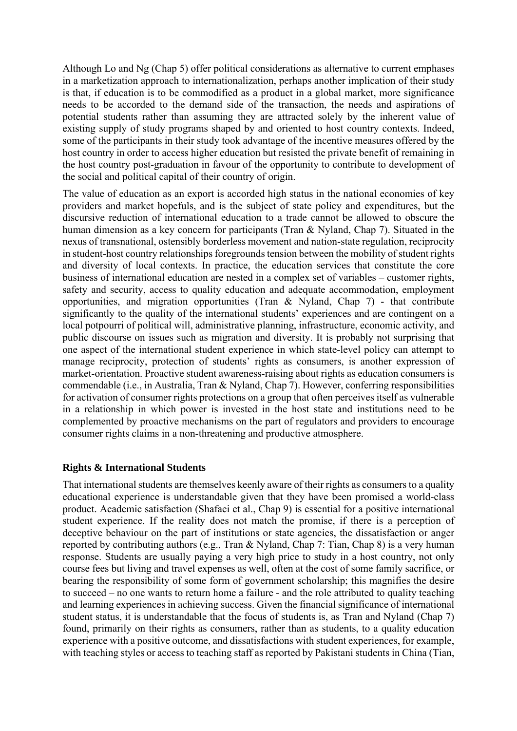Although Lo and Ng (Chap 5) offer political considerations as alternative to current emphases in a marketization approach to internationalization, perhaps another implication of their study is that, if education is to be commodified as a product in a global market, more significance needs to be accorded to the demand side of the transaction, the needs and aspirations of potential students rather than assuming they are attracted solely by the inherent value of existing supply of study programs shaped by and oriented to host country contexts. Indeed, some of the participants in their study took advantage of the incentive measures offered by the host country in order to access higher education but resisted the private benefit of remaining in the host country post-graduation in favour of the opportunity to contribute to development of the social and political capital of their country of origin.

The value of education as an export is accorded high status in the national economies of key providers and market hopefuls, and is the subject of state policy and expenditures, but the discursive reduction of international education to a trade cannot be allowed to obscure the human dimension as a key concern for participants (Tran & Nyland, Chap 7). Situated in the nexus of transnational, ostensibly borderless movement and nation-state regulation, reciprocity in student-host country relationships foregrounds tension between the mobility of student rights and diversity of local contexts. In practice, the education services that constitute the core business of international education are nested in a complex set of variables – customer rights, safety and security, access to quality education and adequate accommodation, employment opportunities, and migration opportunities (Tran & Nyland, Chap 7) - that contribute significantly to the quality of the international students' experiences and are contingent on a local potpourri of political will, administrative planning, infrastructure, economic activity, and public discourse on issues such as migration and diversity. It is probably not surprising that one aspect of the international student experience in which state-level policy can attempt to manage reciprocity, protection of students' rights as consumers, is another expression of market-orientation. Proactive student awareness-raising about rights as education consumers is commendable (i.e., in Australia, Tran & Nyland, Chap 7). However, conferring responsibilities for activation of consumer rights protections on a group that often perceives itself as vulnerable in a relationship in which power is invested in the host state and institutions need to be complemented by proactive mechanisms on the part of regulators and providers to encourage consumer rights claims in a non-threatening and productive atmosphere.

# **Rights & International Students**

That international students are themselves keenly aware of their rights as consumers to a quality educational experience is understandable given that they have been promised a world-class product. Academic satisfaction (Shafaei et al., Chap 9) is essential for a positive international student experience. If the reality does not match the promise, if there is a perception of deceptive behaviour on the part of institutions or state agencies, the dissatisfaction or anger reported by contributing authors (e.g., Tran & Nyland, Chap 7: Tian, Chap 8) is a very human response. Students are usually paying a very high price to study in a host country, not only course fees but living and travel expenses as well, often at the cost of some family sacrifice, or bearing the responsibility of some form of government scholarship; this magnifies the desire to succeed – no one wants to return home a failure - and the role attributed to quality teaching and learning experiences in achieving success. Given the financial significance of international student status, it is understandable that the focus of students is, as Tran and Nyland (Chap 7) found, primarily on their rights as consumers, rather than as students, to a quality education experience with a positive outcome, and dissatisfactions with student experiences, for example, with teaching styles or access to teaching staff as reported by Pakistani students in China (Tian,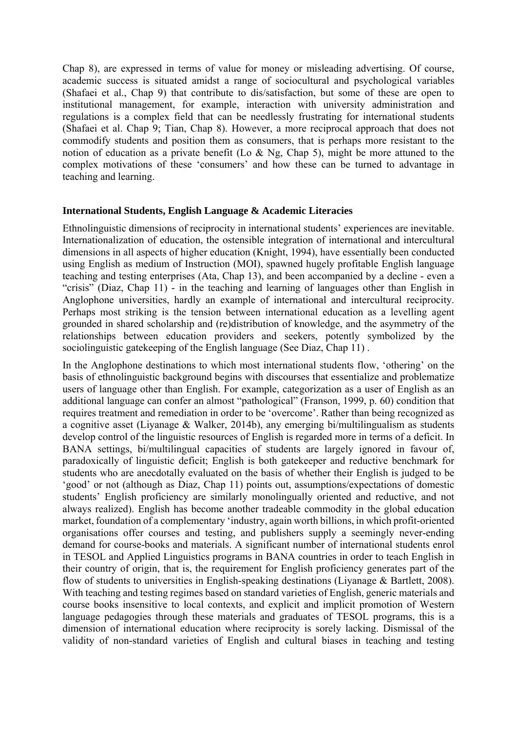Chap 8), are expressed in terms of value for money or misleading advertising. Of course, academic success is situated amidst a range of sociocultural and psychological variables (Shafaei et al., Chap 9) that contribute to dis/satisfaction, but some of these are open to institutional management, for example, interaction with university administration and regulations is a complex field that can be needlessly frustrating for international students (Shafaei et al. Chap 9; Tian, Chap 8). However, a more reciprocal approach that does not commodify students and position them as consumers, that is perhaps more resistant to the notion of education as a private benefit (Lo & Ng, Chap 5), might be more attuned to the complex motivations of these 'consumers' and how these can be turned to advantage in teaching and learning.

# **International Students, English Language & Academic Literacies**

Ethnolinguistic dimensions of reciprocity in international students' experiences are inevitable. Internationalization of education, the ostensible integration of international and intercultural dimensions in all aspects of higher education (Knight, 1994), have essentially been conducted using English as medium of Instruction (MOI), spawned hugely profitable English language teaching and testing enterprises (Ata, Chap 13), and been accompanied by a decline - even a "crisis" (Diaz, Chap 11) - in the teaching and learning of languages other than English in Anglophone universities, hardly an example of international and intercultural reciprocity. Perhaps most striking is the tension between international education as a levelling agent grounded in shared scholarship and (re)distribution of knowledge, and the asymmetry of the relationships between education providers and seekers, potently symbolized by the sociolinguistic gatekeeping of the English language (See Diaz, Chap 11) .

In the Anglophone destinations to which most international students flow, 'othering' on the basis of ethnolinguistic background begins with discourses that essentialize and problematize users of language other than English. For example, categorization as a user of English as an additional language can confer an almost "pathological" (Franson, 1999, p. 60) condition that requires treatment and remediation in order to be 'overcome'. Rather than being recognized as a cognitive asset (Liyanage & Walker, 2014b), any emerging bi/multilingualism as students develop control of the linguistic resources of English is regarded more in terms of a deficit. In BANA settings, bi/multilingual capacities of students are largely ignored in favour of, paradoxically of linguistic deficit; English is both gatekeeper and reductive benchmark for students who are anecdotally evaluated on the basis of whether their English is judged to be 'good' or not (although as Diaz, Chap 11) points out, assumptions/expectations of domestic students' English proficiency are similarly monolingually oriented and reductive, and not always realized). English has become another tradeable commodity in the global education market, foundation of a complementary 'industry, again worth billions, in which profit-oriented organisations offer courses and testing, and publishers supply a seemingly never-ending demand for course-books and materials. A significant number of international students enrol in TESOL and Applied Linguistics programs in BANA countries in order to teach English in their country of origin, that is, the requirement for English proficiency generates part of the flow of students to universities in English-speaking destinations (Liyanage & Bartlett, 2008). With teaching and testing regimes based on standard varieties of English, generic materials and course books insensitive to local contexts, and explicit and implicit promotion of Western language pedagogies through these materials and graduates of TESOL programs, this is a dimension of international education where reciprocity is sorely lacking. Dismissal of the validity of non-standard varieties of English and cultural biases in teaching and testing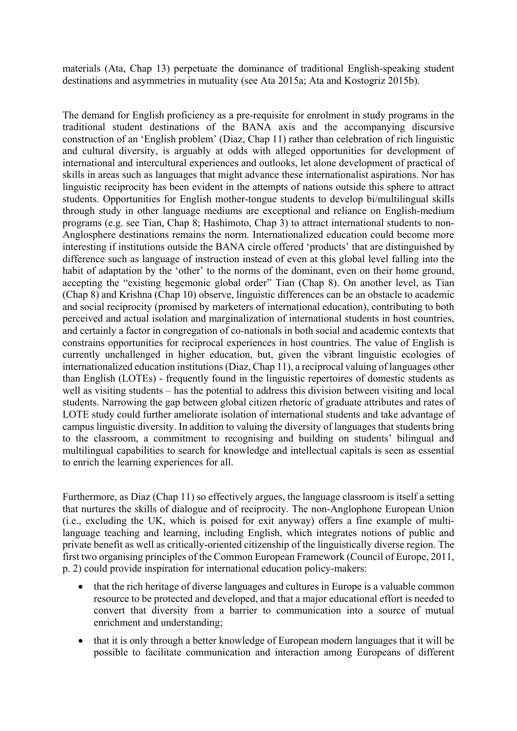materials (Ata, Chap 13) perpetuate the dominance of traditional English-speaking student destinations and asymmetries in mutuality (see Ata 2015a; Ata and Kostogriz 2015b).

The demand for English proficiency as a pre-requisite for enrolment in study programs in the traditional student destinations of the BANA axis and the accompanying discursive construction of an 'English problem' (Diaz, Chap 11) rather than celebration of rich linguistic and cultural diversity, is arguably at odds with alleged opportunities for development of international and intercultural experiences and outlooks, let alone development of practical of skills in areas such as languages that might advance these internationalist aspirations. Nor has linguistic reciprocity has been evident in the attempts of nations outside this sphere to attract students. Opportunities for English mother-tongue students to develop bi/multilingual skills through study in other language mediums are exceptional and reliance on English-medium programs (e.g. see Tian, Chap 8; Hashimoto, Chap 3) to attract international students to non-Anglosphere destinations remains the norm. Internationalized education could become more interesting if institutions outside the BANA circle offered 'products' that are distinguished by difference such as language of instruction instead of even at this global level falling into the habit of adaptation by the 'other' to the norms of the dominant, even on their home ground, accepting the "existing hegemonic global order" Tian (Chap 8). On another level, as Tian (Chap 8) and Krishna (Chap 10) observe, linguistic differences can be an obstacle to academic and social reciprocity (promised by marketers of international education), contributing to both perceived and actual isolation and marginalization of international students in host countries, and certainly a factor in congregation of co-nationals in both social and academic contexts that constrains opportunities for reciprocal experiences in host countries. The value of English is currently unchallenged in higher education, but, given the vibrant linguistic ecologies of internationalized education institutions (Diaz, Chap 11), a reciprocal valuing of languages other than English (LOTEs) - frequently found in the linguistic repertoires of domestic students as well as visiting students – has the potential to address this division between visiting and local students. Narrowing the gap between global citizen rhetoric of graduate attributes and rates of LOTE study could further ameliorate isolation of international students and take advantage of campus linguistic diversity. In addition to valuing the diversity of languages that students bring to the classroom, a commitment to recognising and building on students' bilingual and multilingual capabilities to search for knowledge and intellectual capitals is seen as essential to enrich the learning experiences for all.

Furthermore, as Diaz (Chap 11) so effectively argues, the language classroom is itself a setting that nurtures the skills of dialogue and of reciprocity. The non-Anglophone European Union (i.e., excluding the UK, which is poised for exit anyway) offers a fine example of multilanguage teaching and learning, including English, which integrates notions of public and private benefit as well as critically-oriented citizenship of the linguistically diverse region. The first two organising principles of the Common European Framework (Council of Europe, 2011, p. 2) could provide inspiration for international education policy-makers:

- that the rich heritage of diverse languages and cultures in Europe is a valuable common resource to be protected and developed, and that a major educational effort is needed to convert that diversity from a barrier to communication into a source of mutual enrichment and understanding;
- that it is only through a better knowledge of European modern languages that it will be possible to facilitate communication and interaction among Europeans of different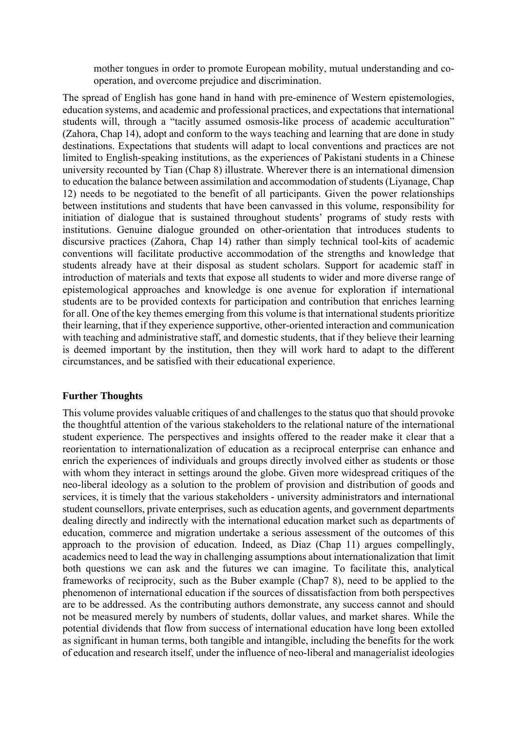mother tongues in order to promote European mobility, mutual understanding and cooperation, and overcome prejudice and discrimination.

The spread of English has gone hand in hand with pre-eminence of Western epistemologies, education systems, and academic and professional practices, and expectations that international students will, through a "tacitly assumed osmosis-like process of academic acculturation" (Zahora, Chap 14), adopt and conform to the ways teaching and learning that are done in study destinations. Expectations that students will adapt to local conventions and practices are not limited to English-speaking institutions, as the experiences of Pakistani students in a Chinese university recounted by Tian (Chap 8) illustrate. Wherever there is an international dimension to education the balance between assimilation and accommodation of students (Liyanage, Chap 12) needs to be negotiated to the benefit of all participants. Given the power relationships between institutions and students that have been canvassed in this volume, responsibility for initiation of dialogue that is sustained throughout students' programs of study rests with institutions. Genuine dialogue grounded on other-orientation that introduces students to discursive practices (Zahora, Chap 14) rather than simply technical tool-kits of academic conventions will facilitate productive accommodation of the strengths and knowledge that students already have at their disposal as student scholars. Support for academic staff in introduction of materials and texts that expose all students to wider and more diverse range of epistemological approaches and knowledge is one avenue for exploration if international students are to be provided contexts for participation and contribution that enriches learning for all. One of the key themes emerging from this volume is that international students prioritize their learning, that if they experience supportive, other-oriented interaction and communication with teaching and administrative staff, and domestic students, that if they believe their learning is deemed important by the institution, then they will work hard to adapt to the different circumstances, and be satisfied with their educational experience.

# **Further Thoughts**

This volume provides valuable critiques of and challenges to the status quo that should provoke the thoughtful attention of the various stakeholders to the relational nature of the international student experience. The perspectives and insights offered to the reader make it clear that a reorientation to internationalization of education as a reciprocal enterprise can enhance and enrich the experiences of individuals and groups directly involved either as students or those with whom they interact in settings around the globe. Given more widespread critiques of the neo-liberal ideology as a solution to the problem of provision and distribution of goods and services, it is timely that the various stakeholders - university administrators and international student counsellors, private enterprises, such as education agents, and government departments dealing directly and indirectly with the international education market such as departments of education, commerce and migration undertake a serious assessment of the outcomes of this approach to the provision of education. Indeed, as Diaz (Chap 11) argues compellingly, academics need to lead the way in challenging assumptions about internationalization that limit both questions we can ask and the futures we can imagine. To facilitate this, analytical frameworks of reciprocity, such as the Buber example (Chap7 8), need to be applied to the phenomenon of international education if the sources of dissatisfaction from both perspectives are to be addressed. As the contributing authors demonstrate, any success cannot and should not be measured merely by numbers of students, dollar values, and market shares. While the potential dividends that flow from success of international education have long been extolled as significant in human terms, both tangible and intangible, including the benefits for the work of education and research itself, under the influence of neo-liberal and managerialist ideologies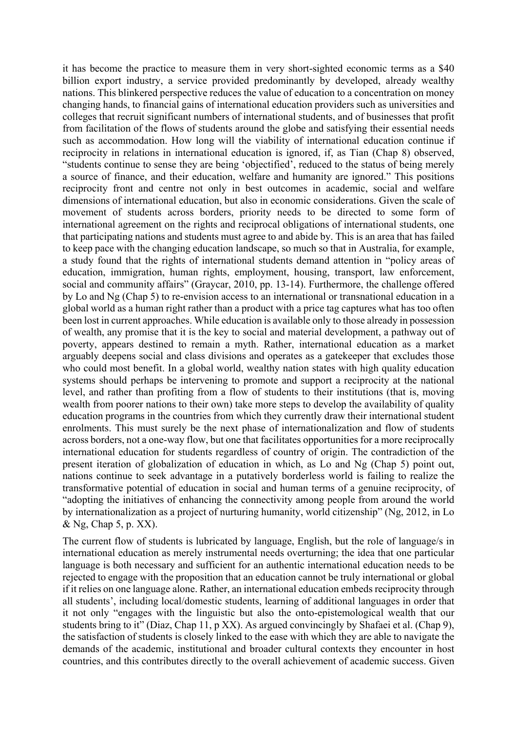it has become the practice to measure them in very short-sighted economic terms as a \$40 billion export industry, a service provided predominantly by developed, already wealthy nations. This blinkered perspective reduces the value of education to a concentration on money changing hands, to financial gains of international education providers such as universities and colleges that recruit significant numbers of international students, and of businesses that profit from facilitation of the flows of students around the globe and satisfying their essential needs such as accommodation. How long will the viability of international education continue if reciprocity in relations in international education is ignored, if, as Tian (Chap 8) observed, "students continue to sense they are being 'objectified', reduced to the status of being merely a source of finance, and their education, welfare and humanity are ignored." This positions reciprocity front and centre not only in best outcomes in academic, social and welfare dimensions of international education, but also in economic considerations. Given the scale of movement of students across borders, priority needs to be directed to some form of international agreement on the rights and reciprocal obligations of international students, one that participating nations and students must agree to and abide by. This is an area that has failed to keep pace with the changing education landscape, so much so that in Australia, for example, a study found that the rights of international students demand attention in "policy areas of education, immigration, human rights, employment, housing, transport, law enforcement, social and community affairs" (Graycar, 2010, pp. 13-14). Furthermore, the challenge offered by Lo and Ng (Chap 5) to re-envision access to an international or transnational education in a global world as a human right rather than a product with a price tag captures what has too often been lost in current approaches. While education is available only to those already in possession of wealth, any promise that it is the key to social and material development, a pathway out of poverty, appears destined to remain a myth. Rather, international education as a market arguably deepens social and class divisions and operates as a gatekeeper that excludes those who could most benefit. In a global world, wealthy nation states with high quality education systems should perhaps be intervening to promote and support a reciprocity at the national level, and rather than profiting from a flow of students to their institutions (that is, moving wealth from poorer nations to their own) take more steps to develop the availability of quality education programs in the countries from which they currently draw their international student enrolments. This must surely be the next phase of internationalization and flow of students across borders, not a one-way flow, but one that facilitates opportunities for a more reciprocally international education for students regardless of country of origin. The contradiction of the present iteration of globalization of education in which, as Lo and Ng (Chap 5) point out, nations continue to seek advantage in a putatively borderless world is failing to realize the transformative potential of education in social and human terms of a genuine reciprocity, of "adopting the initiatives of enhancing the connectivity among people from around the world by internationalization as a project of nurturing humanity, world citizenship" (Ng, 2012, in Lo & Ng, Chap 5, p. XX).

The current flow of students is lubricated by language, English, but the role of language/s in international education as merely instrumental needs overturning; the idea that one particular language is both necessary and sufficient for an authentic international education needs to be rejected to engage with the proposition that an education cannot be truly international or global if it relies on one language alone. Rather, an international education embeds reciprocity through all students', including local/domestic students, learning of additional languages in order that it not only "engages with the linguistic but also the onto-epistemological wealth that our students bring to it" (Diaz, Chap 11, p XX). As argued convincingly by Shafaei et al. (Chap 9), the satisfaction of students is closely linked to the ease with which they are able to navigate the demands of the academic, institutional and broader cultural contexts they encounter in host countries, and this contributes directly to the overall achievement of academic success. Given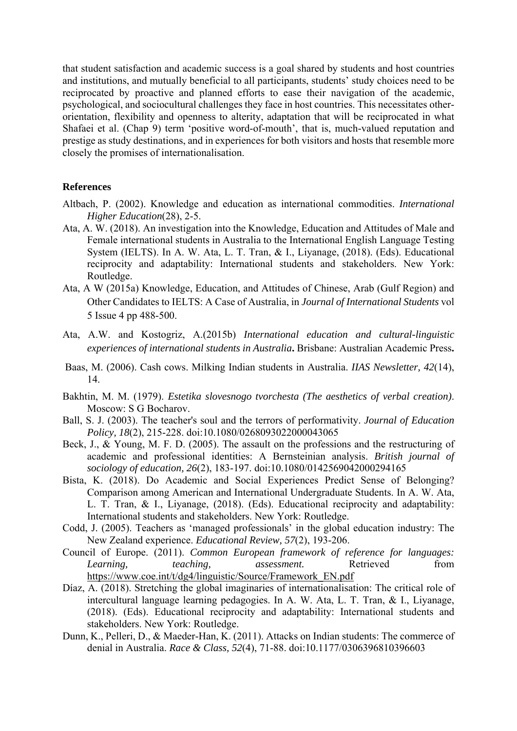that student satisfaction and academic success is a goal shared by students and host countries and institutions, and mutually beneficial to all participants, students' study choices need to be reciprocated by proactive and planned efforts to ease their navigation of the academic, psychological, and sociocultural challenges they face in host countries. This necessitates otherorientation, flexibility and openness to alterity, adaptation that will be reciprocated in what Shafaei et al. (Chap 9) term 'positive word-of-mouth', that is, much-valued reputation and prestige as study destinations, and in experiences for both visitors and hosts that resemble more closely the promises of internationalisation.

#### **References**

- Altbach, P. (2002). Knowledge and education as international commodities. *International Higher Education*(28), 2-5.
- Ata, A. W. (2018). An investigation into the Knowledge, Education and Attitudes of Male and Female international students in Australia to the International English Language Testing System (IELTS). In A. W. Ata, L. T. Tran, & I., Liyanage, (2018). (Eds). Educational reciprocity and adaptability: International students and stakeholders. New York: Routledge.
- Ata, A W (2015a) Knowledge, Education, and Attitudes of Chinese, Arab (Gulf Region) and Other Candidates to IELTS: A Case of Australia, in *Journal of International Students* vol 5 Issue 4 pp 488-500.
- Ata, A.W. and Kostogriz, A.(2015b) *International education and cultural-linguistic experiences of international students in Australia***.** Brisbane: Australian Academic Press**.**
- Baas, M. (2006). Cash cows. Milking Indian students in Australia. *IIAS Newsletter, 42*(14), 14.
- Bakhtin, M. M. (1979). *Estetika slovesnogo tvorchesta (The aesthetics of verbal creation)*. Moscow: S G Bocharov.
- Ball, S. J. (2003). The teacher's soul and the terrors of performativity. *Journal of Education Policy, 18*(2), 215-228. doi:10.1080/0268093022000043065
- Beck, J., & Young, M. F. D. (2005). The assault on the professions and the restructuring of academic and professional identities: A Bernsteinian analysis. *British journal of sociology of education, 26*(2), 183-197. doi:10.1080/0142569042000294165
- Bista, K. (2018). Do Academic and Social Experiences Predict Sense of Belonging? Comparison among American and International Undergraduate Students. In A. W. Ata, L. T. Tran, & I., Liyanage, (2018). (Eds). Educational reciprocity and adaptability: International students and stakeholders. New York: Routledge.
- Codd, J. (2005). Teachers as 'managed professionals' in the global education industry: The New Zealand experience. *Educational Review, 57*(2), 193-206.
- Council of Europe. (2011). *Common European framework of reference for languages: Learning, teaching, assessment.* Retrieved from https://www.coe.int/t/dg4/linguistic/Source/Framework\_EN.pdf
- Díaz, A. (2018). Stretching the global imaginaries of internationalisation: The critical role of intercultural language learning pedagogies. In A. W. Ata, L. T. Tran, & I., Liyanage, (2018). (Eds). Educational reciprocity and adaptability: International students and stakeholders. New York: Routledge.
- Dunn, K., Pelleri, D., & Maeder-Han, K. (2011). Attacks on Indian students: The commerce of denial in Australia. *Race & Class, 52*(4), 71-88. doi:10.1177/0306396810396603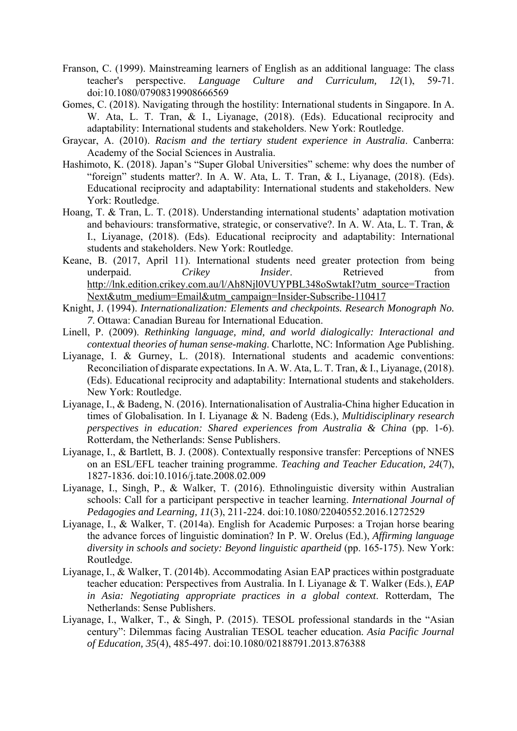- Franson, C. (1999). Mainstreaming learners of English as an additional language: The class teacher's perspective. *Language Culture and Curriculum, 12*(1), 59-71. doi:10.1080/07908319908666569
- Gomes, C. (2018). Navigating through the hostility: International students in Singapore. In A. W. Ata, L. T. Tran, & I., Liyanage, (2018). (Eds). Educational reciprocity and adaptability: International students and stakeholders. New York: Routledge.
- Graycar, A. (2010). *Racism and the tertiary student experience in Australia*. Canberra: Academy of the Social Sciences in Australia.
- Hashimoto, K. (2018). Japan's "Super Global Universities" scheme: why does the number of "foreign" students matter?. In A. W. Ata, L. T. Tran, & I., Liyanage, (2018). (Eds). Educational reciprocity and adaptability: International students and stakeholders. New York: Routledge.
- Hoang, T. & Tran, L. T. (2018). Understanding international students' adaptation motivation and behaviours: transformative, strategic, or conservative?. In A. W. Ata, L. T. Tran, & I., Liyanage, (2018). (Eds). Educational reciprocity and adaptability: International students and stakeholders. New York: Routledge.
- Keane, B. (2017, April 11). International students need greater protection from being underpaid. Crikey *Insider*. Retrieved from http://lnk.edition.crikey.com.au/l/Ah8Njl0VUYPBL348oSwtakI?utm\_source=Traction Next&utm\_medium=Email&utm\_campaign=Insider-Subscribe-110417
- Knight, J. (1994). *Internationalization: Elements and checkpoints. Research Monograph No. 7*. Ottawa: Canadian Bureau for International Education.
- Linell, P. (2009). *Rethinking language, mind, and world dialogically: Interactional and contextual theories of human sense-making*. Charlotte, NC: Information Age Publishing.
- Liyanage, I. & Gurney, L. (2018). International students and academic conventions: Reconciliation of disparate expectations. In A. W. Ata, L. T. Tran, & I., Liyanage, (2018). (Eds). Educational reciprocity and adaptability: International students and stakeholders. New York: Routledge.
- Liyanage, I., & Badeng, N. (2016). Internationalisation of Australia-China higher Education in times of Globalisation. In I. Liyanage & N. Badeng (Eds.), *Multidisciplinary research perspectives in education: Shared experiences from Australia & China* (pp. 1-6). Rotterdam, the Netherlands: Sense Publishers.
- Liyanage, I., & Bartlett, B. J. (2008). Contextually responsive transfer: Perceptions of NNES on an ESL/EFL teacher training programme. *Teaching and Teacher Education, 24*(7), 1827-1836. doi:10.1016/j.tate.2008.02.009
- Liyanage, I., Singh, P., & Walker, T. (2016). Ethnolinguistic diversity within Australian schools: Call for a participant perspective in teacher learning. *International Journal of Pedagogies and Learning, 11*(3), 211-224. doi:10.1080/22040552.2016.1272529
- Liyanage, I., & Walker, T. (2014a). English for Academic Purposes: a Trojan horse bearing the advance forces of linguistic domination? In P. W. Orelus (Ed.), *Affirming language diversity in schools and society: Beyond linguistic apartheid* (pp. 165-175). New York: Routledge.
- Liyanage, I., & Walker, T. (2014b). Accommodating Asian EAP practices within postgraduate teacher education: Perspectives from Australia. In I. Liyanage & T. Walker (Eds.), *EAP in Asia: Negotiating appropriate practices in a global context*. Rotterdam, The Netherlands: Sense Publishers.
- Liyanage, I., Walker, T., & Singh, P. (2015). TESOL professional standards in the "Asian century": Dilemmas facing Australian TESOL teacher education. *Asia Pacific Journal of Education, 35*(4), 485-497. doi:10.1080/02188791.2013.876388